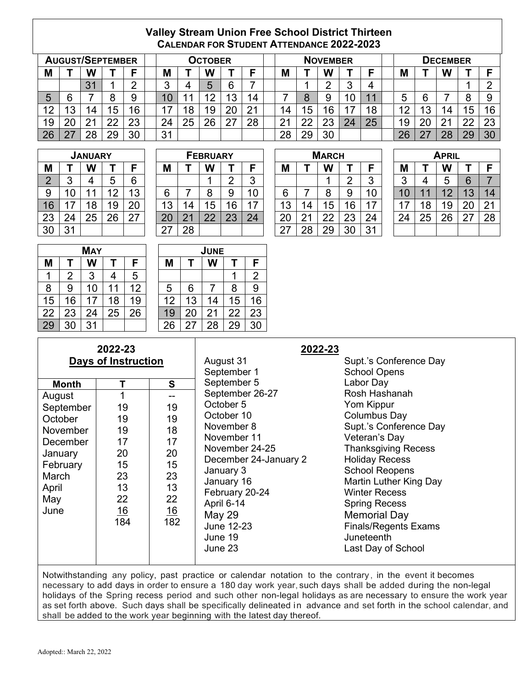## **Valley Stream Union Free School District Thirteen CALENDAR FOR STUDENT ATTENDANCE 2022-2023**

|    | <b>AUGUST/SEPTEMBER</b> |                |    |    |          |    | Остовек |         |    | <b>NOVEMBER</b> |    |          |        | DECEMBER |  |                 |          |                |    |    |
|----|-------------------------|----------------|----|----|----------|----|---------|---------|----|-----------------|----|----------|--------|----------|--|-----------------|----------|----------------|----|----|
| M  |                         | W              |    |    | M        |    | W       |         |    | M               |    | W        |        | −        |  | Μ               |          | W              |    |    |
|    |                         | 3 <sub>1</sub> |    |    | ⌒<br>ື   |    | ᄃ       | ี       |    |                 |    |          | ົ<br>w | 4        |  |                 |          |                |    |    |
| 5  | R                       |                | 8  | 9  | 1 N<br>ν | -4 | 12      | 13      | 14 |                 | o  |          | 10     |          |  | b               | 6        |                |    |    |
| 12 | 3                       | 14             | 15 | 16 | ⇁        | 8  | 19      | ററ<br>ᄼ | 21 | 4               | 15 | 6        | 17     | 18       |  | $\sqrt{2}$<br>∼ | 10<br>J. | 14             | 15 | 16 |
| 19 | חר                      | 2 <sub>1</sub> | 22 | 23 | 24       | 25 | 26      |         | 28 | . ገ 1<br>∠      | ∩∩ | ററ<br>∠ご | 24     | 25       |  | 19              | 20       | 21<br><u>.</u> | ററ | 23 |
| 26 |                         | 28             | 29 | 30 | 31       |    |         |         |    | 28              | 29 | 30       |        |          |  | 26              | つフ       | 28             | 29 | 30 |

| <b>JANUARY</b> |    |    |    |    |  |  |  |  |
|----------------|----|----|----|----|--|--|--|--|
| М              |    | W  |    | F  |  |  |  |  |
| $\overline{2}$ | 3  | 4  | 5  | 6  |  |  |  |  |
| 9              | 10 | 11 | 12 | G  |  |  |  |  |
| 16             | 17 | 18 | 19 | 20 |  |  |  |  |
| 23             | 24 | 25 | 26 | 27 |  |  |  |  |
| 30             | 31 |    |    |    |  |  |  |  |

|                |                 | <b>JANUARY</b> |            |         |     |    | <b>FEBRUARY</b> |          |        | <b>MARCH</b>        |    |    |        | <b>APRIL</b> |        |    |        |    |    |
|----------------|-----------------|----------------|------------|---------|-----|----|-----------------|----------|--------|---------------------|----|----|--------|--------------|--------|----|--------|----|----|
| M              |                 | W              |            | с       | M   |    | W               |          | Е      | M                   |    | W  |        | Г            | M      |    | W      |    | E  |
| $\overline{2}$ | ◠<br>u          |                | ∽          | 6       |     |    |                 | ⌒        | 0<br>J |                     |    |    | C<br>_ | ◠<br>J       | ◠<br>J |    | ∽<br>w | 6  |    |
| 9              | 10 <sup>°</sup> |                | $\sqrt{2}$ | 12<br>د | 6   |    | O               | 9        | 10     | 6                   |    | О  | 9      | 10           | 10     |    | $\sim$ | 13 | 14 |
| 16             | 7               | 18             | 19         | 20      | 13  | 4  | 15              | 6        |        | 13                  | 4  | 5  | 6      | 17           | ⇁      | 18 | 19     | 20 | 21 |
| 23             | 24              | 25             | 26         | 27      | 20  |    | ററ              | ററ<br>40 | 24     | 20                  |    | nn | 23     | 24           | 24     | 25 | 26     | 27 | 28 |
| 30             | 31              |                |            |         | -27 | 28 |                 |          |        | 07<br>$\sim$ $\sim$ | 28 | 29 | 30     | 31           |        |    |        |    |    |

|                 | MARCH |    |    |                |  |  |  |  |
|-----------------|-------|----|----|----------------|--|--|--|--|
| м               |       |    | т  | F              |  |  |  |  |
|                 |       |    | 2  | $\mathfrak{3}$ |  |  |  |  |
| 6               |       | 8  | 9  | 10             |  |  |  |  |
| $\overline{13}$ | 14    | 15 | 16 | 17             |  |  |  |  |
| 20              | 21    | 22 | 23 | 24             |  |  |  |  |
| 27              | 28    | 29 | 30 | 31             |  |  |  |  |

| April |    |    |    |    |  |  |  |
|-------|----|----|----|----|--|--|--|
|       | т  | W  | т  | F  |  |  |  |
| 3     | 4  | 5  | 6  |    |  |  |  |
| 10    |    | 12 | 13 | 14 |  |  |  |
| 17    | 18 | 19 | 20 | 21 |  |  |  |
| 24    | 25 | 26 | 27 | 28 |  |  |  |
|       |    |    |    |    |  |  |  |

|    | <b>MAY</b>     |    |    |    |  |  |  |  |  |
|----|----------------|----|----|----|--|--|--|--|--|
| М  | т              | W  | т  | F  |  |  |  |  |  |
|    | $\overline{2}$ | 3  | 4  | 5  |  |  |  |  |  |
| 8  | 9              | 10 | 11 | 12 |  |  |  |  |  |
| 15 | 16             | 17 | 18 | 19 |  |  |  |  |  |
| 22 | 23             | 24 | 25 | 26 |  |  |  |  |  |
| 29 | 30             | 31 |    |    |  |  |  |  |  |

| - 1 |    |            |    |    |    |    |    |      |  |  |
|-----|----|------------|----|----|----|----|----|------|--|--|
|     |    |            |    |    |    |    |    |      |  |  |
|     |    |            |    |    |    |    |    |      |  |  |
|     | W  |            | F  | Μ  |    | W  |    | F    |  |  |
| 2   | 3  |            | 5  |    |    |    |    | 2    |  |  |
| 9   | 10 | 1<br>1     | 12 | 5  | 6  |    | 8  | 9    |  |  |
| 16  | 17 | 18         | 19 | 12 | 13 | 14 | 15 | 16   |  |  |
| 23  | 24 | 25         | 26 | 19 | 20 | 21 | 22 | 23   |  |  |
| 30  | 31 |            |    | 26 | 27 | 28 | 29 | 30   |  |  |
|     |    | <b>MAY</b> |    |    |    |    |    | JUNE |  |  |

## **2022-23 Days of Instruction**

| Month     | т   | S   |
|-----------|-----|-----|
| August    | 1   |     |
| September | 19  | 19  |
| October   | 19  | 19  |
| November  | 19  | 18  |
| December  | 17  | 17  |
| January   | 20  | 20  |
| February  | 15  | 15  |
| March     | 23  | 23  |
| April     | 13  | 13  |
| May       | 22  | 22  |
| June      | 16  | 16  |
|           | 184 | 182 |
|           |     |     |
|           |     |     |
|           |     |     |

September 5 Labor Day September 26-27 October 5 Yom Kippur October 10 Columbus Day November 11 Veteran's Day December 24-January 2 Holiday Recess January 3 School Reopens February 20-24 Winter Recess April 6-14 Spring Recess May 29 Memorial Day June 12-23 Finals/Regents Exams June 19 Juneteenth June 23 Last Day of School

## **2022-23**

August 31 Supt.'s Conference Day<br>September 1 School Opens School Opens November 8 Supt.'s Conference Day **Thanksgiving Recess** January 16 Martin Luther King Day

Notwithstanding any policy, past practice or calendar notation to the contrary, in the event it becomes necessary to add days in order to ensure a 180 day work year, such days shall be added during the non-legal holidays of the Spring recess period and such other non-legal holidays as are necessary to ensure the work year as set forth above. Such days shall be specifically delineated in advance and set forth in the school calendar, and shall be added to the work year beginning with the latest day thereof.